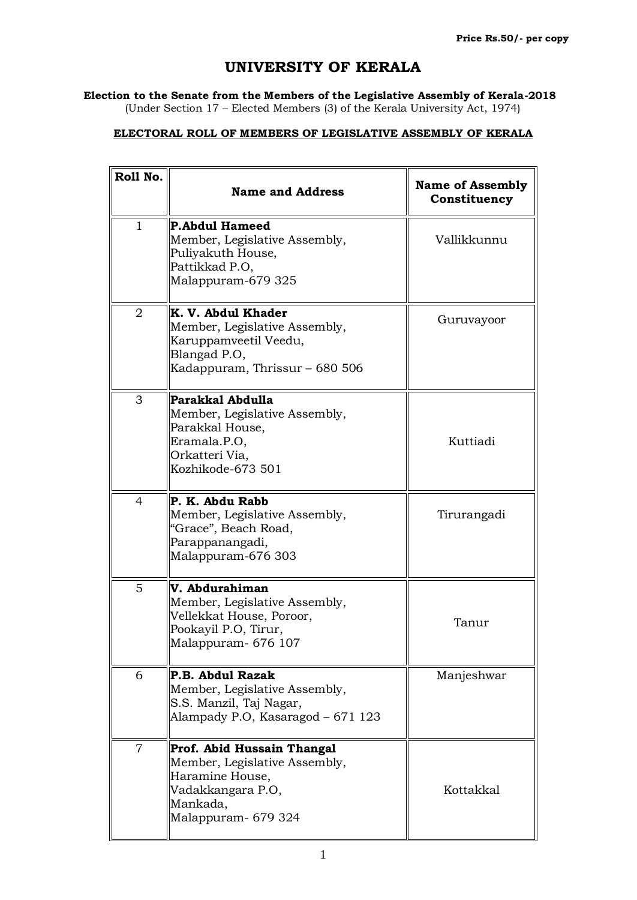## **UNIVERSITY OF KERALA**

**Election to the Senate from the Members of the Legislative Assembly of Kerala-2018**

(Under Section 17 – Elected Members (3) of the Kerala University Act, 1974)

## **ELECTORAL ROLL OF MEMBERS OF LEGISLATIVE ASSEMBLY OF KERALA**

| Roll No.       | <b>Name and Address</b>                                                                                                                | <b>Name of Assembly</b><br>Constituency |
|----------------|----------------------------------------------------------------------------------------------------------------------------------------|-----------------------------------------|
| $\mathbf{1}$   | <b>P.Abdul Hameed</b><br>Member, Legislative Assembly,<br>Puliyakuth House,<br>Pattikkad P.O,<br>Malappuram-679 325                    | Vallikkunnu                             |
| 2              | K. V. Abdul Khader<br>Member, Legislative Assembly,<br>Karuppamveetil Veedu,<br>Blangad P.O,<br>Kadappuram, Thrissur – 680 506         | Guruvayoor                              |
| 3              | Parakkal Abdulla<br>Member, Legislative Assembly,<br>Parakkal House,<br>Eramala.P.O,<br>Orkatteri Via,<br>Kozhikode-673 501            | Kuttiadi                                |
| $\overline{4}$ | P. K. Abdu Rabb<br>Member, Legislative Assembly,<br>"Grace", Beach Road,<br>Parappanangadi,<br>Malappuram-676 303                      | Tirurangadi                             |
| 5              | V. Abdurahiman<br>Member, Legislative Assembly,<br>Vellekkat House, Poroor,<br>Pookayil P.O, Tirur,<br>Malappuram- 676 107             | Tanur                                   |
| 6              | P.B. Abdul Razak<br>Member, Legislative Assembly,<br>S.S. Manzil, Taj Nagar,<br>Alampady P.O, Kasaragod - 671 123                      | Manjeshwar                              |
| 7              | Prof. Abid Hussain Thangal<br>Member, Legislative Assembly,<br>Haramine House,<br>Vadakkangara P.O,<br>Mankada,<br>Malappuram- 679 324 | Kottakkal                               |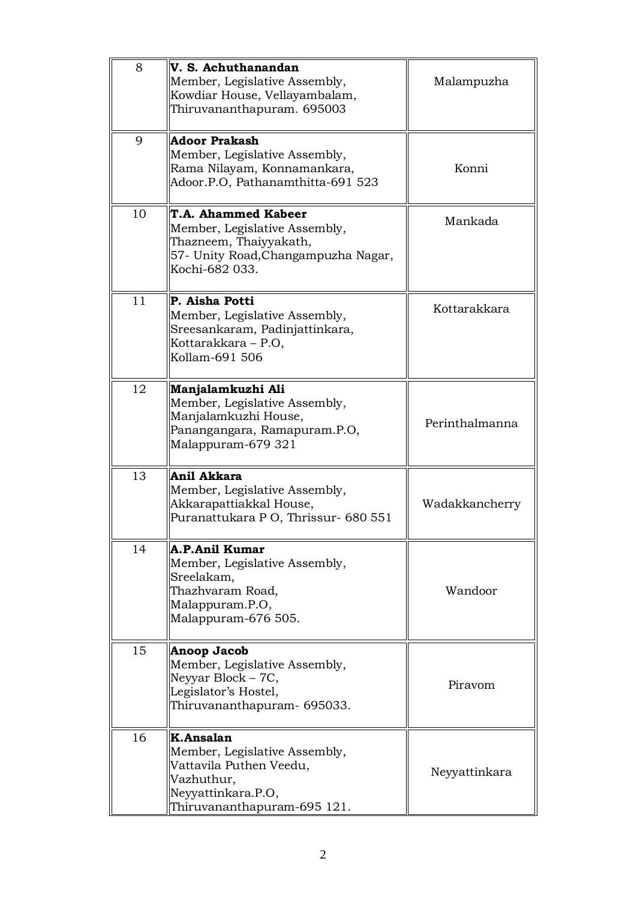| 8  | V. S. Achuthanandan<br>Member, Legislative Assembly,<br>Kowdiar House, Vellayambalam,<br>Thiruvananthapuram. 695003                      | Malampuzha     |
|----|------------------------------------------------------------------------------------------------------------------------------------------|----------------|
| 9  | Adoor Prakash<br>Member, Legislative Assembly,<br>Rama Nilayam, Konnamankara,<br>Adoor.P.O, Pathanamthitta-691 523                       | Konni          |
| 10 | T.A. Ahammed Kabeer<br>Member, Legislative Assembly,<br>Thazneem, Thaiyyakath,<br>57- Unity Road, Changampuzha Nagar,<br>Kochi-682 033.  | Mankada        |
| 11 | P. Aisha Potti<br>Member, Legislative Assembly,<br>Sreesankaram, Padinjattinkara,<br>Kottarakkara - P.O,<br>Kollam-691 506               | Kottarakkara   |
| 12 | Manjalamkuzhi Ali<br>Member, Legislative Assembly,<br>Manjalamkuzhi House,<br>Panangangara, Ramapuram.P.O,<br>Malappuram-679 321         | Perinthalmanna |
| 13 | Anil Akkara<br>Member, Legislative Assembly,<br>Akkarapattiakkal House,<br>Puranattukara P O, Thrissur- 680 551                          | Wadakkancherry |
| 14 | A.P.Anil Kumar<br>Member, Legislative Assembly,<br>Sreelakam,<br>Thazhvaram Road,<br>Malappuram.P.O,<br>Malappuram-676 505.              | Wandoor        |
| 15 | Anoop Jacob<br>Member, Legislative Assembly,<br>Neyyar Block - 7C,<br>Legislator's Hostel,<br>Thiruvananthapuram- 695033.                | Piravom        |
| 16 | K.Ansalan<br>Member, Legislative Assembly,<br>Vattavila Puthen Veedu,<br>Vazhuthur,<br>Neyyattinkara.P.O,<br>Thiruvananthapuram-695 121. | Neyyattinkara  |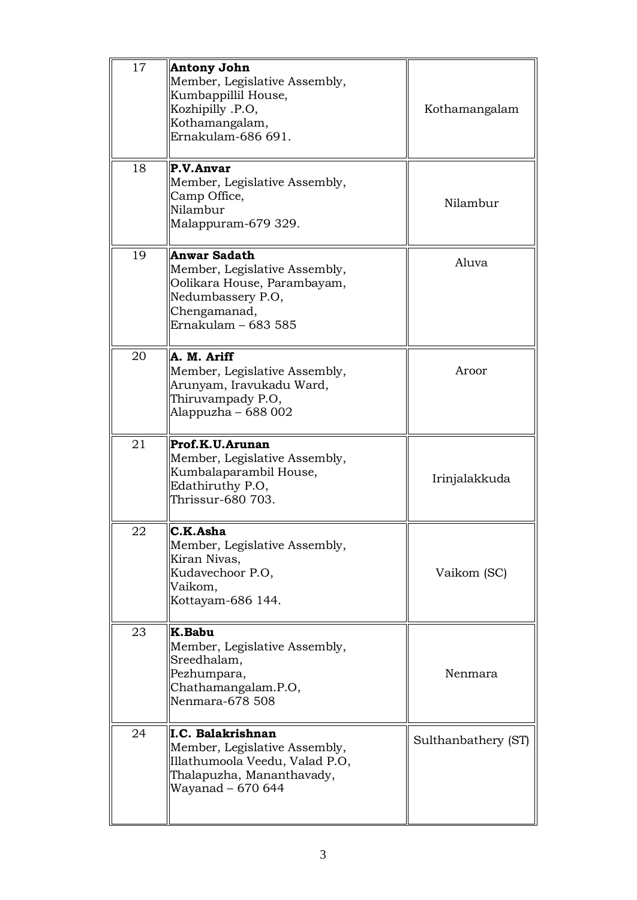| 17 | Antony John<br>Member, Legislative Assembly,<br>Kumbappillil House,<br>Kozhipilly .P.O,<br>Kothamangalam,<br>Ernakulam-686 691.                 | Kothamangalam       |
|----|-------------------------------------------------------------------------------------------------------------------------------------------------|---------------------|
| 18 | P.V.Anvar<br>Member, Legislative Assembly,<br>Camp Office,<br>Nilambur<br>Malappuram-679 329.                                                   | Nilambur            |
| 19 | <b>Anwar Sadath</b><br>Member, Legislative Assembly,<br>Oolikara House, Parambayam,<br>Nedumbassery P.O,<br>Chengamanad,<br>Ernakulam - 683 585 | Aluva               |
| 20 | A. M. Ariff<br>Member, Legislative Assembly,<br>Arunyam, Iravukadu Ward,<br>Thiruvampady P.O,<br>Alappuzha – 688 002                            | Aroor               |
| 21 | Prof.K.U.Arunan<br>Member, Legislative Assembly,<br>Kumbalaparambil House,<br>Edathiruthy P.O,<br>Thrissur-680 703.                             | Irinjalakkuda       |
| 22 | C.K.Asha<br>Member, Legislative Assembly,<br>Kiran Nivas,<br>Kudavechoor P.O,<br>Vaikom,<br>Kottayam-686 144.                                   | Vaikom (SC)         |
| 23 | K.Babu<br>Member, Legislative Assembly,<br>Sreedhalam,<br>Pezhumpara,<br>Chathamangalam.P.O,<br>Nenmara-678 508                                 | Nenmara             |
| 24 | I.C. Balakrishnan<br>Member, Legislative Assembly,<br>Illathumoola Veedu, Valad P.O,<br>Thalapuzha, Mananthavady,<br>Wayanad – 670 644          | Sulthanbathery (ST) |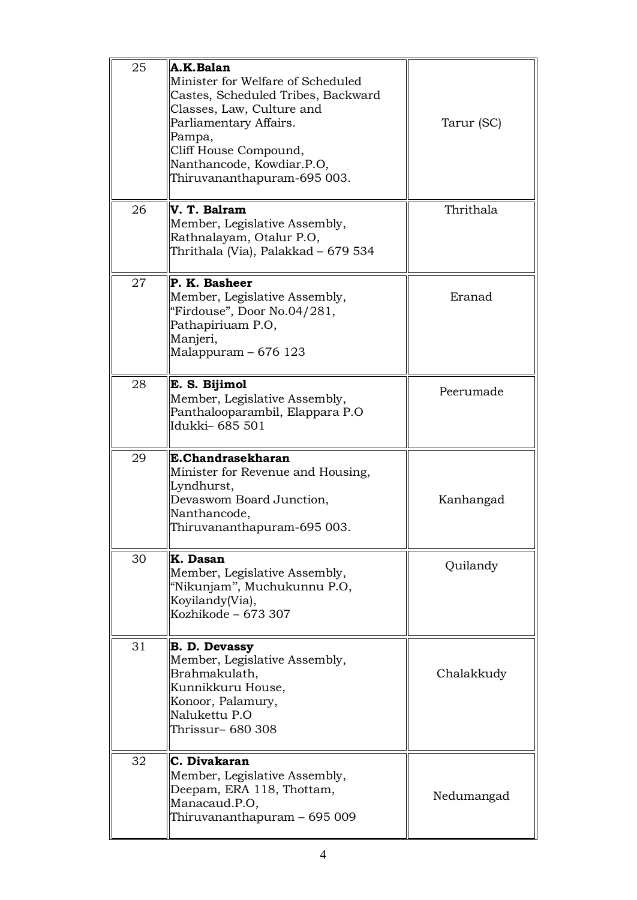| 25 | A.K.Balan<br>Minister for Welfare of Scheduled<br>Castes, Scheduled Tribes, Backward<br>Classes, Law, Culture and<br>Parliamentary Affairs.<br>Pampa,<br>Cliff House Compound,<br>Nanthancode, Kowdiar.P.O,<br>Thiruvananthapuram-695 003. | Tarur (SC) |
|----|--------------------------------------------------------------------------------------------------------------------------------------------------------------------------------------------------------------------------------------------|------------|
| 26 | V. T. Balram<br>Member, Legislative Assembly,<br>Rathnalayam, Otalur P.O,<br>Thrithala (Via), Palakkad – 679 534                                                                                                                           | Thrithala  |
| 27 | P. K. Basheer<br>Member, Legislative Assembly,<br>"Firdouse", Door No.04/281,<br>Pathapiriuam P.O,<br>Manjeri,<br>Malappuram - 676 123                                                                                                     | Eranad     |
| 28 | E. S. Bijimol<br>Member, Legislative Assembly,<br>Panthalooparambil, Elappara P.O<br>Idukki – 685 501                                                                                                                                      | Peerumade  |
| 29 | E.Chandrasekharan<br>Minister for Revenue and Housing,<br>Lyndhurst,<br>Devaswom Board Junction,<br>Nanthancode,<br>Thiruvananthapuram-695 003.                                                                                            | Kanhangad  |
| 30 | K. Dasan<br>Member, Legislative Assembly,<br>"Nikunjam", Muchukunnu P.O,<br>Koyilandy(Via),<br>Kozhikode - 673 307                                                                                                                         | Quilandy   |
| 31 | <b>B. D. Devassy</b><br>Member, Legislative Assembly,<br>Brahmakulath,<br>Kunnikkuru House,<br>Konoor, Palamury,<br>Nalukettu P.O<br>Thrissur- 680 308                                                                                     | Chalakkudy |
| 32 | C. Divakaran<br>Member, Legislative Assembly,<br>Deepam, ERA 118, Thottam,<br>Manacaud.P.O,<br>Thiruvananthapuram - 695 009                                                                                                                | Nedumangad |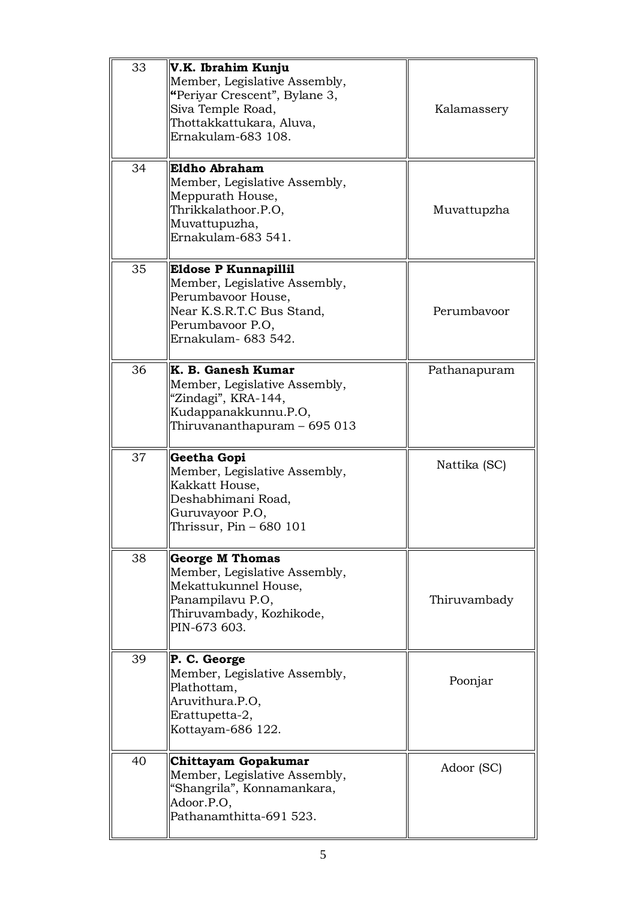| 33 | V.K. Ibrahim Kunju<br>Member, Legislative Assembly,<br>"Periyar Crescent", Bylane 3,<br>Siva Temple Road,<br>Thottakkattukara, Aluva,<br>Ernakulam-683 108. | Kalamassery  |
|----|-------------------------------------------------------------------------------------------------------------------------------------------------------------|--------------|
| 34 | Eldho Abraham<br>Member, Legislative Assembly,<br>Meppurath House,<br>Thrikkalathoor.P.O,<br>Muvattupuzha,<br>Ernakulam-683 541.                            | Muvattupzha  |
| 35 | Eldose P Kunnapillil<br>Member, Legislative Assembly,<br>Perumbavoor House,<br>Near K.S.R.T.C Bus Stand,<br>Perumbayoor P.O,<br>Ernakulam- 683 542.         | Perumbayoor  |
| 36 | K. B. Ganesh Kumar<br>Member, Legislative Assembly,<br>"Zindagi", KRA-144,<br>Kudappanakkunnu.P.O,<br>Thiruvananthapuram – 695 013                          | Pathanapuram |
| 37 | Geetha Gopi<br>Member, Legislative Assembly,<br>Kakkatt House,<br>Deshabhimani Road,<br>Guruvayoor P.O,<br>Thrissur, Pin - 680 101                          | Nattika (SC) |
| 38 | <b>George M Thomas</b><br>Member, Legislative Assembly,<br>Mekattukunnel House,<br>Panampilavu P.O,<br>Thiruvambady, Kozhikode,<br>PIN-673 603.             | Thiruvambady |
| 39 | P. C. George<br>Member, Legislative Assembly,<br>Plathottam,<br>Aruvithura.P.O,<br>Erattupetta-2,<br>Kottayam-686 122.                                      | Poonjar      |
| 40 | Chittayam Gopakumar<br>Member, Legislative Assembly,<br>"Shangrila", Konnamankara,<br>Adoor.P.O,<br>Pathanamthitta-691 523.                                 | Adoor (SC)   |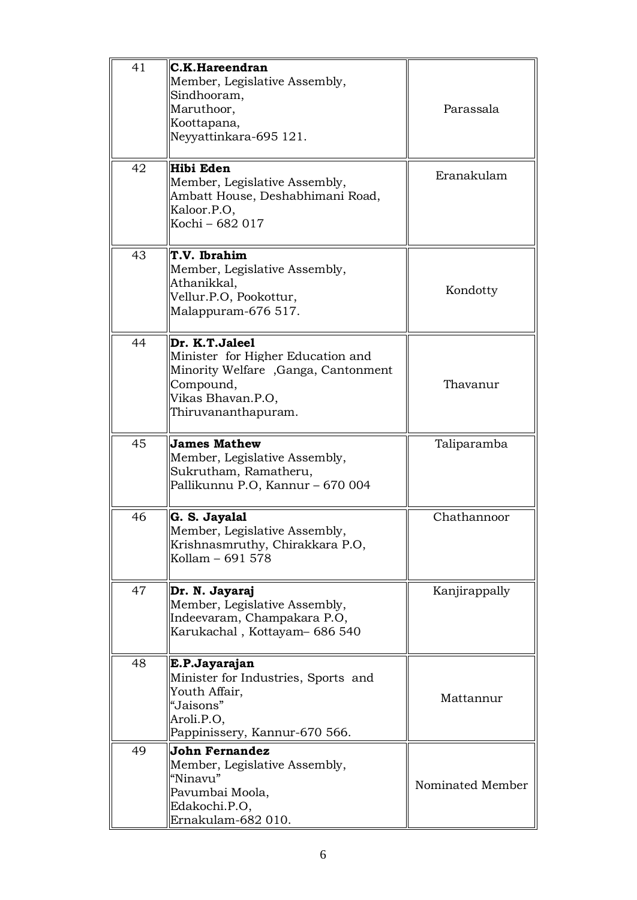| 41 | C.K.Hareendran<br>Member, Legislative Assembly,<br>Sindhooram,<br>Maruthoor,<br>Koottapana,<br>Neyyattinkara-695 121.                               | Parassala        |
|----|-----------------------------------------------------------------------------------------------------------------------------------------------------|------------------|
| 42 | Hibi Eden<br>Member, Legislative Assembly,<br>Ambatt House, Deshabhimani Road,<br>Kaloor.P.O,<br>Kochi - 682 017                                    | Eranakulam       |
| 43 | T.V. Ibrahim<br>Member, Legislative Assembly,<br>Athanikkal,<br>Vellur.P.O, Pookottur,<br>Malappuram-676 517.                                       | Kondotty         |
| 44 | Dr. K.T.Jaleel<br>Minister for Higher Education and<br>Minority Welfare, Ganga, Cantonment<br>Compound,<br>Vikas Bhavan.P.O,<br>Thiruvananthapuram. | Thavanur         |
| 45 | <b>James Mathew</b><br>Member, Legislative Assembly,<br>Sukrutham, Ramatheru,<br>Pallikunnu P.O, Kannur - 670 004                                   | Taliparamba      |
| 46 | G. S. Jayalal<br>Member, Legislative Assembly,<br>Krishnasmruthy, Chirakkara P.O,<br>Kollam - 691 578                                               | Chathannoor      |
| 47 | Dr. N. Jayaraj<br>Member, Legislative Assembly,<br>Indeevaram, Champakara P.O,<br>Karukachal, Kottayam-686 540                                      | Kanjirappally    |
| 48 | E.P.Jayarajan<br>Minister for Industries, Sports and<br>Youth Affair,<br>"Jaisons"<br>Aroli.P.O,<br>Pappinissery, Kannur-670 566.                   | Mattannur        |
| 49 | John Fernandez<br>Member, Legislative Assembly,<br>"Ninavu"<br>Pavumbai Moola,<br>Edakochi.P.O,<br>Ernakulam-682 010.                               | Nominated Member |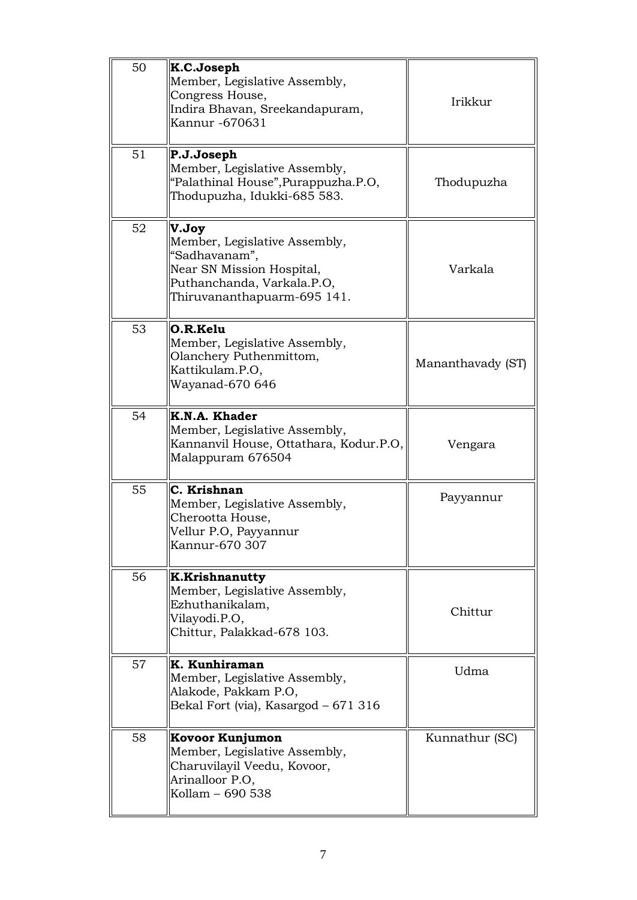| 50 | K.C.Joseph<br>Member, Legislative Assembly,<br>Congress House,<br>Indira Bhavan, Sreekandapuram,<br>Kannur -670631                                | Irikkur           |
|----|---------------------------------------------------------------------------------------------------------------------------------------------------|-------------------|
| 51 | P.J.Joseph<br>Member, Legislative Assembly,<br>"Palathinal House", Purappuzha.P.O,<br>Thodupuzha, Idukki-685 583.                                 | Thodupuzha        |
| 52 | V.Joy<br>Member, Legislative Assembly,<br>"Sadhavanam",<br>Near SN Mission Hospital,<br>Puthanchanda, Varkala.P.O,<br>Thiruvananthapuarm-695 141. | Varkala           |
| 53 | O.R.Kelu<br>Member, Legislative Assembly,<br>Olanchery Puthenmittom,<br>Kattikulam.P.O,<br>Wayanad-670 646                                        | Mananthavady (ST) |
| 54 | K.N.A. Khader<br>Member, Legislative Assembly,<br>Kannanvil House, Ottathara, Kodur.P.O,<br>Malappuram 676504                                     | Vengara           |
| 55 | C. Krishnan<br>Member, Legislative Assembly,<br>Cherootta House,<br>Vellur P.O, Payyannur<br>Kannur-670 307                                       | Payyannur         |
| 56 | <b>K.Krishnanutty</b><br>Member, Legislative Assembly,<br>Ezhuthanikalam,<br>Vilayodi.P.O,<br>Chittur, Palakkad-678 103.                          | Chittur           |
| 57 | K. Kunhiraman<br>Member, Legislative Assembly,<br>Alakode, Pakkam P.O,<br>Bekal Fort (via), Kasargod - 671 316                                    | Udma              |
| 58 | Kovoor Kunjumon<br>Member, Legislative Assembly,<br>Charuvilayil Veedu, Kovoor,<br>Arinalloor P.O,<br>Kollam - 690 538                            | Kunnathur (SC)    |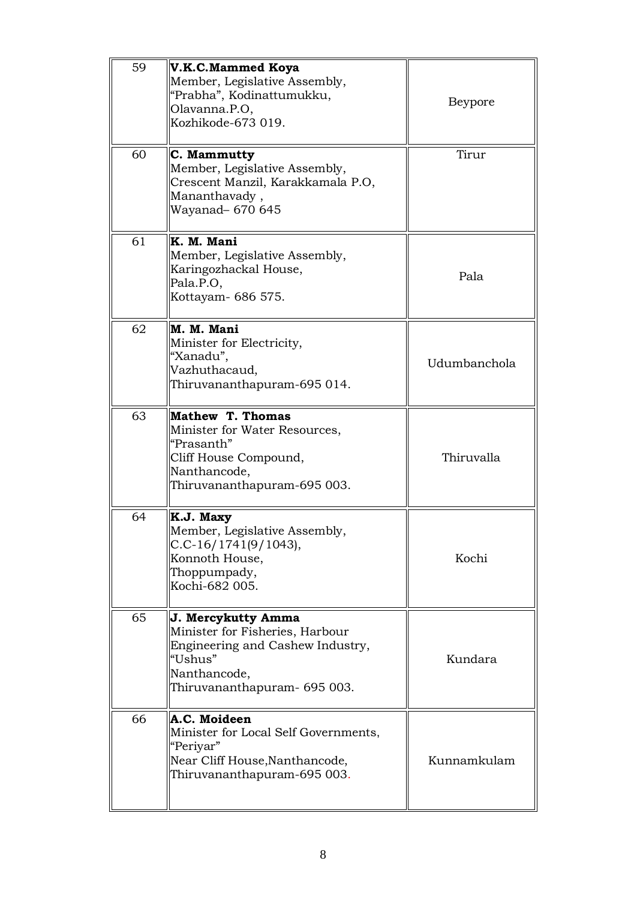| 59 | V.K.C.Mammed Koya<br>Member, Legislative Assembly,<br>"Prabha", Kodinattumukku,<br>Olavanna.P.O,<br>Kozhikode-673 019.                               | <b>Beypore</b> |
|----|------------------------------------------------------------------------------------------------------------------------------------------------------|----------------|
| 60 | C. Mammutty<br>Member, Legislative Assembly,<br>Crescent Manzil, Karakkamala P.O,<br>Mananthavady,<br>Wayanad- 670 645                               | Tirur          |
| 61 | K. M. Mani<br>Member, Legislative Assembly,<br>Karingozhackal House,<br>Pala.P.O,<br>Kottayam- 686 575.                                              | Pala           |
| 62 | M. M. Mani<br>Minister for Electricity,<br>"Xanadu",<br>Vazhuthacaud,<br>Thiruvananthapuram-695 014.                                                 | Udumbanchola   |
| 63 | Mathew T. Thomas<br>Minister for Water Resources,<br>"Prasanth"<br>Cliff House Compound,<br>Nanthancode,<br>Thiruvananthapuram-695 003.              | Thiruvalla     |
| 64 | K.J. Maxy<br>Member, Legislative Assembly,<br>$C.C-16/1741(9/1043),$<br>Konnoth House,<br>Thoppumpady,<br>Kochi-682 005.                             | Kochi          |
| 65 | J. Mercykutty Amma<br>Minister for Fisheries, Harbour<br>Engineering and Cashew Industry,<br>"Ushus"<br>Nanthancode,<br>Thiruvananthapuram- 695 003. | Kundara        |
| 66 | A.C. Moideen<br>Minister for Local Self Governments,<br>"Periyar"<br>Near Cliff House, Nanthancode,<br>Thiruvananthapuram-695 003.                   | Kunnamkulam    |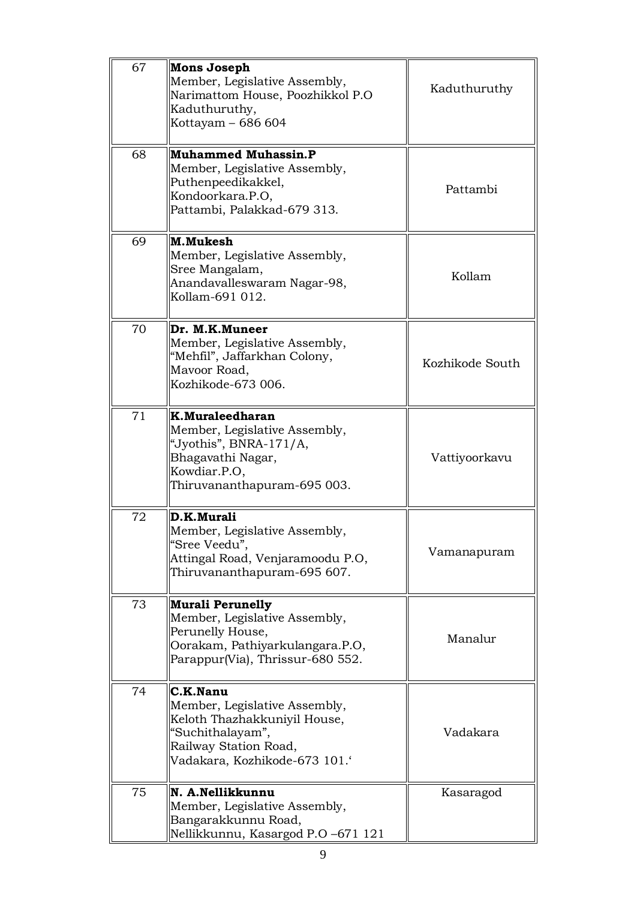| 67 | <b>Mons Joseph</b><br>Member, Legislative Assembly,<br>Narimattom House, Poozhikkol P.O<br>Kaduthuruthy,<br>Kottayam - 686 604                         | Kaduthuruthy    |
|----|--------------------------------------------------------------------------------------------------------------------------------------------------------|-----------------|
| 68 | <b>Muhammed Muhassin.P</b><br>Member, Legislative Assembly,<br>Puthenpeedikakkel,<br>Kondoorkara.P.O.<br>Pattambi, Palakkad-679 313.                   | Pattambi        |
| 69 | M.Mukesh<br>Member, Legislative Assembly,<br>Sree Mangalam,<br>Anandavalleswaram Nagar-98,<br>Kollam-691 012.                                          | Kollam          |
| 70 | Dr. M.K.Muneer<br>Member, Legislative Assembly,<br>"Mehfil", Jaffarkhan Colony,<br>Mavoor Road,<br>Kozhikode-673 006.                                  | Kozhikode South |
| 71 | K.Muraleedharan<br>Member, Legislative Assembly,<br>"Jyothis", BNRA-171/A,<br>Bhagavathi Nagar,<br>Kowdiar.P.O,<br>Thiruvananthapuram-695 003.         | Vattiyoorkavu   |
| 72 | D.K.Murali<br>Member, Legislative Assembly,<br>"Sree Veedu",<br>Attingal Road, Venjaramoodu P.O,<br>Thiruvananthapuram-695 607.                        | Vamanapuram     |
| 73 | <b>Murali Perunelly</b><br>Member, Legislative Assembly,<br>Perunelly House,<br>Oorakam, Pathiyarkulangara.P.O,<br>Parappur(Via), Thrissur-680 552.    | Manalur         |
| 74 | C.K.Nanu<br>Member, Legislative Assembly,<br>Keloth Thazhakkuniyil House,<br>"Suchithalayam",<br>Railway Station Road,<br>Vadakara, Kozhikode-673 101. | Vadakara        |
| 75 | N. A.Nellikkunnu<br>Member, Legislative Assembly,<br>Bangarakkunnu Road,<br>Nellikkunnu, Kasargod P.O -671 121                                         | Kasaragod       |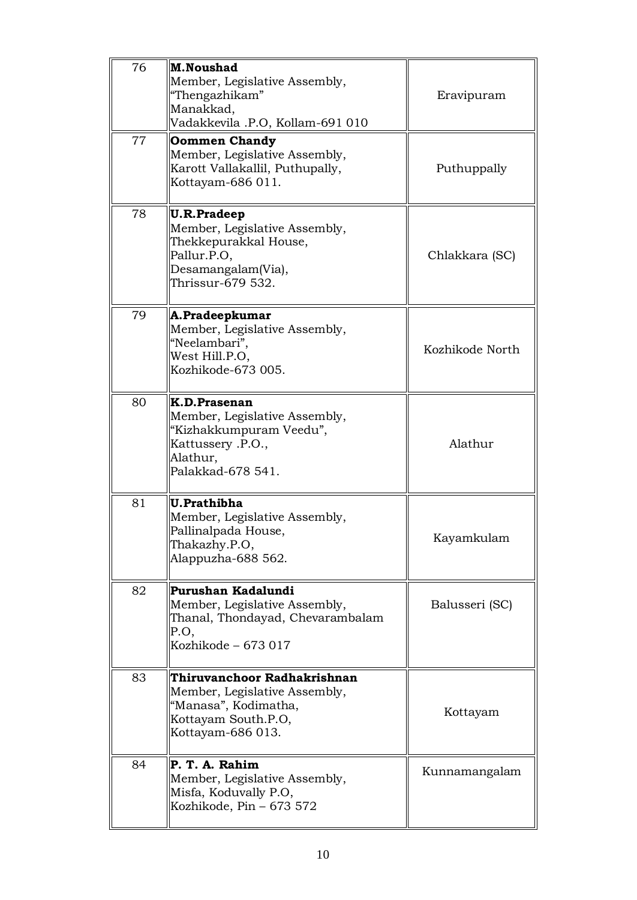| 76 | M.Noushad<br>Member, Legislative Assembly,<br>"Thengazhikam"<br>Manakkad,<br>Vadakkevila .P.O, Kollam-691 010                          | Eravipuram      |
|----|----------------------------------------------------------------------------------------------------------------------------------------|-----------------|
| 77 | <b>Oommen Chandy</b><br>Member, Legislative Assembly,<br>Karott Vallakallil, Puthupally,<br>Kottayam-686 011.                          | Puthuppally     |
| 78 | <b>U.R.Pradeep</b><br>Member, Legislative Assembly,<br>Thekkepurakkal House,<br>Pallur.P.O,<br>Desamangalam(Via),<br>Thrissur-679 532. | Chlakkara (SC)  |
| 79 | A.Pradeepkumar<br>Member, Legislative Assembly,<br>"Neelambari",<br>West Hill.P.O,<br>Kozhikode-673 005.                               | Kozhikode North |
| 80 | K.D.Prasenan<br>Member, Legislative Assembly,<br>"Kizhakkumpuram Veedu",<br>Kattussery .P.O.,<br>Alathur,<br>Palakkad-678 541.         | Alathur         |
| 81 | U.Prathibha<br>Member, Legislative Assembly,<br>Pallinalpada House,<br>Thakazhy.P.O,<br>Alappuzha-688 562.                             | Kayamkulam      |
| 82 | Purushan Kadalundi<br>Member, Legislative Assembly,<br>Thanal, Thondayad, Chevarambalam<br>P.O.<br>Kozhikode - 673 017                 | Balusseri (SC)  |
| 83 | Thiruvanchoor Radhakrishnan<br>Member, Legislative Assembly,<br>"Manasa", Kodimatha,<br>Kottayam South.P.O,<br>Kottayam-686 013.       | Kottayam        |
| 84 | P. T. A. Rahim<br>Member, Legislative Assembly,<br>Misfa, Koduvally P.O,<br>Kozhikode, Pin - 673 572                                   | Kunnamangalam   |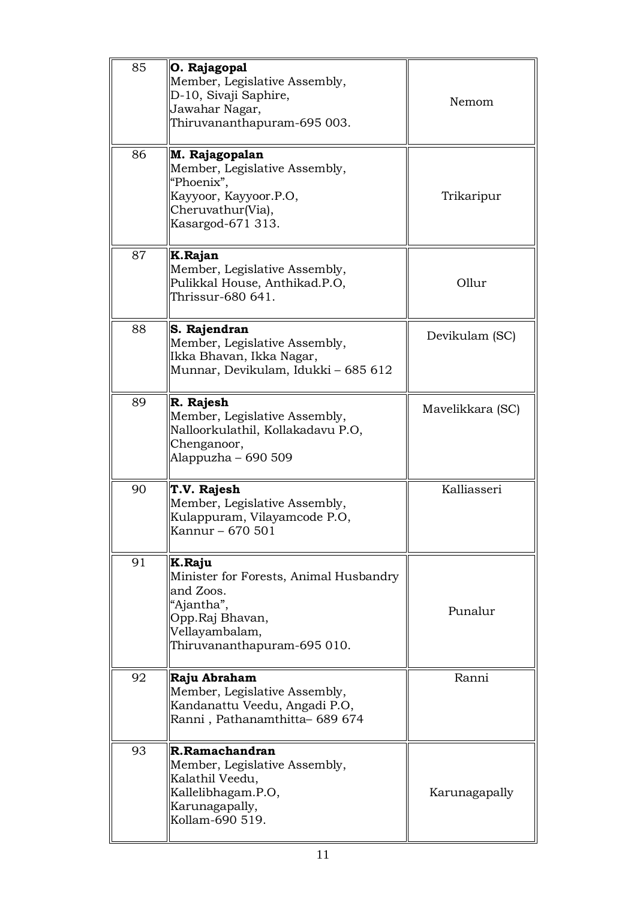| 85 | O. Rajagopal<br>Member, Legislative Assembly,<br>D-10, Sivaji Saphire,<br>Jawahar Nagar,<br>Thiruvananthapuram-695 003.                         | Nemom            |
|----|-------------------------------------------------------------------------------------------------------------------------------------------------|------------------|
| 86 | M. Rajagopalan<br>Member, Legislative Assembly,<br>"Phoenix",<br>Kayyoor, Kayyoor.P.O,<br>Cheruvathur(Via),<br>Kasargod-671 313.                | Trikaripur       |
| 87 | K.Rajan<br>Member, Legislative Assembly,<br>Pulikkal House, Anthikad.P.O,<br>Thrissur-680 641.                                                  | Ollur            |
| 88 | S. Rajendran<br>Member, Legislative Assembly,<br>Ikka Bhavan, Ikka Nagar,<br>Munnar, Devikulam, Idukki - 685 612                                | Devikulam (SC)   |
| 89 | R. Rajesh<br>Member, Legislative Assembly,<br>Nalloorkulathil, Kollakadavu P.O,<br>Chenganoor,<br>Alappuzha – 690 509                           | Mavelikkara (SC) |
| 90 | T.V. Rajesh<br>Member, Legislative Assembly,<br>Kulappuram, Vilayamcode P.O,<br>Kannur – 670 501                                                | Kalliasseri      |
| 91 | K.Raju<br>Minister for Forests, Animal Husbandry<br>and Zoos.<br>"Ajantha",<br>Opp.Raj Bhavan,<br>Vellayambalam,<br>Thiruvananthapuram-695 010. | Punalur          |
| 92 | Raju Abraham<br>Member, Legislative Assembly,<br>Kandanattu Veedu, Angadi P.O,<br>Ranni, Pathanamthitta-689674                                  | Ranni            |
| 93 | R.Ramachandran<br>Member, Legislative Assembly,<br>Kalathil Veedu,<br>Kallelibhagam.P.O,<br>Karunagapally,<br>Kollam-690 519.                   | Karunagapally    |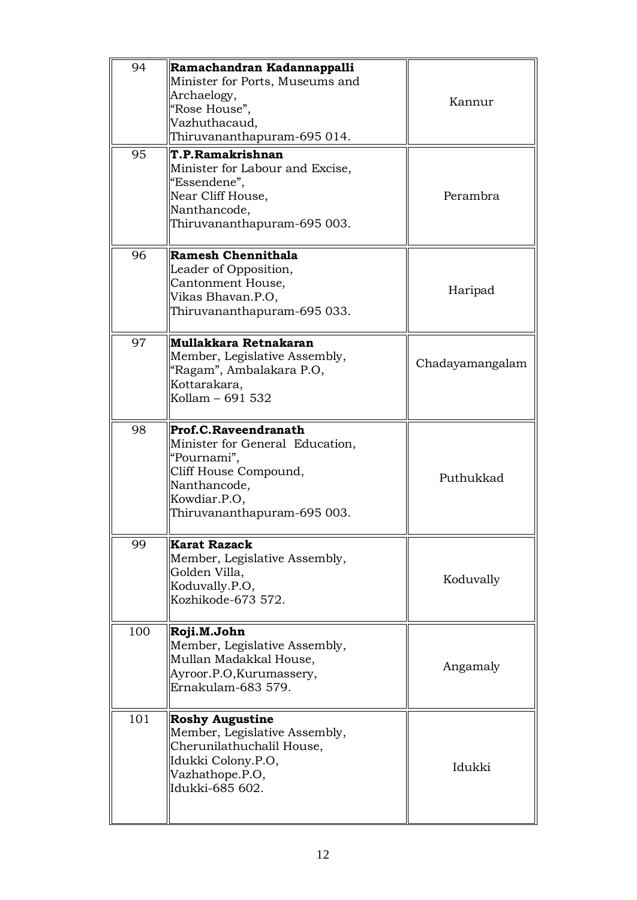| 94<br>95 | Ramachandran Kadannappalli<br>Minister for Ports, Museums and<br>Archaelogy,<br>"Rose House",<br>Vazhuthacaud,<br>Thiruvananthapuram-695 014.<br>T.P.Ramakrishnan | Kannur          |
|----------|-------------------------------------------------------------------------------------------------------------------------------------------------------------------|-----------------|
|          | Minister for Labour and Excise,<br>"Essendene",<br>Near Cliff House,<br>Nanthancode,<br>Thiruvananthapuram-695 003.                                               | Perambra        |
| 96       | <b>Ramesh Chennithala</b><br>Leader of Opposition,<br>Cantonment House,<br>Vikas Bhavan.P.O,<br>Thiruvananthapuram-695 033.                                       | Haripad         |
| 97       | Mullakkara Retnakaran<br>Member, Legislative Assembly,<br>"Ragam", Ambalakara P.O,<br>Kottarakara,<br>Kollam - 691 532                                            | Chadayamangalam |
| 98       | Prof.C.Raveendranath<br>Minister for General Education,<br>"Pournami",<br>Cliff House Compound,<br>Nanthancode,<br>Kowdiar.P.O,<br>Thiruvananthapuram-695 003.    | Puthukkad       |
| 99       | <b>Karat Razack</b><br>Member, Legislative Assembly,<br>Golden Villa,<br>Koduvally.P.O,<br>Kozhikode-673 572.                                                     | Koduvally       |
| 100      | Roji.M.John<br>Member, Legislative Assembly,<br>Mullan Madakkal House,<br>Ayroor.P.O, Kurumassery,<br>Ernakulam-683 579.                                          | Angamaly        |
| 101      | <b>Roshy Augustine</b><br>Member, Legislative Assembly,<br>Cherunilathuchalil House,<br>Idukki Colony.P.O,<br>Vazhathope.P.O,<br>Idukki-685 602.                  | Idukki          |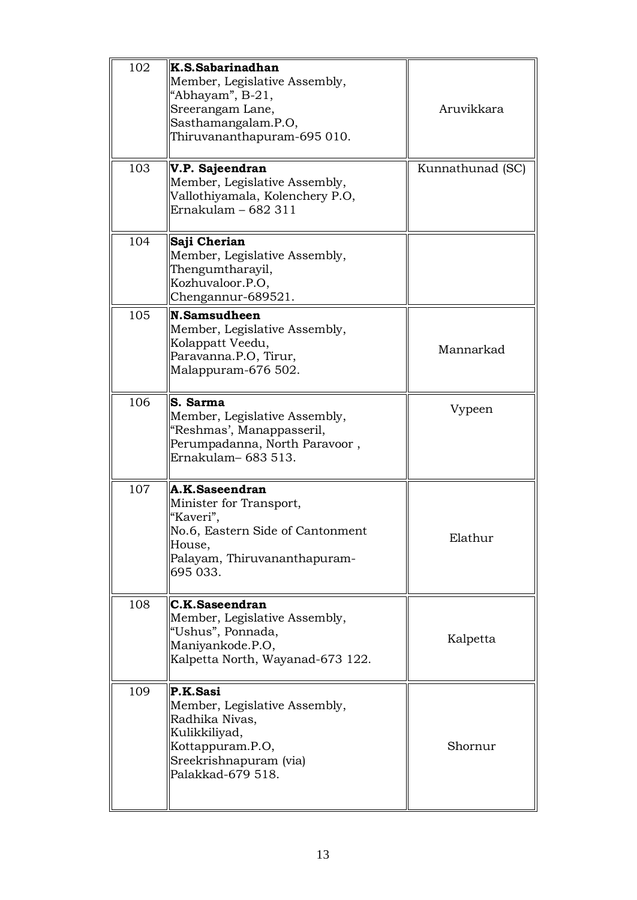| 102 | K.S.Sabarinadhan<br>Member, Legislative Assembly,<br>"Abhayam", B-21,<br>Sreerangam Lane,<br>Sasthamangalam.P.O,<br>Thiruvananthapuram-695 010.  | Aruvikkara       |
|-----|--------------------------------------------------------------------------------------------------------------------------------------------------|------------------|
| 103 | V.P. Sajeendran<br>Member, Legislative Assembly,<br>Vallothiyamala, Kolenchery P.O,<br>Ernakulam - 682 311                                       | Kunnathunad (SC) |
| 104 | Saji Cherian<br>Member, Legislative Assembly,<br>Thengumtharayil,<br>Kozhuvaloor.P.O,<br>Chengannur-689521.                                      |                  |
| 105 | N.Samsudheen<br>Member, Legislative Assembly,<br>Kolappatt Veedu,<br>Paravanna.P.O, Tirur,<br>Malappuram-676 502.                                | Mannarkad        |
| 106 | S. Sarma<br>Member, Legislative Assembly,<br>"Reshmas', Manappasseril,<br>Perumpadanna, North Paravoor,<br>Ernakulam-683 513.                    | Vypeen           |
| 107 | A.K.Saseendran<br>Minister for Transport,<br>"Kaveri",<br>No.6, Eastern Side of Cantonment<br>House,<br>Palayam, Thiruvananthapuram-<br>695 033. | Elathur          |
| 108 | C.K.Saseendran<br>Member, Legislative Assembly,<br>"Ushus", Ponnada,<br>Maniyankode.P.O,<br>Kalpetta North, Wayanad-673 122.                     | Kalpetta         |
| 109 | P.K.Sasi<br>Member, Legislative Assembly,<br>Radhika Nivas,<br>Kulikkiliyad,<br>Kottappuram.P.O,<br>Sreekrishnapuram (via)<br>Palakkad-679 518.  | Shornur          |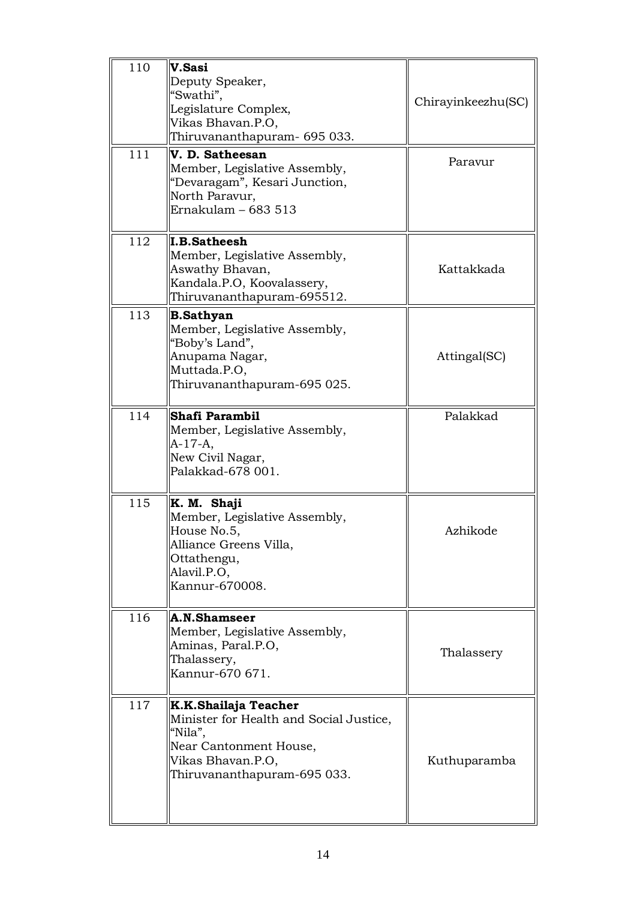| 110 | V.Sasi<br>Deputy Speaker,<br>"Swathi",<br>Legislature Complex,<br>Vikas Bhavan.P.O,<br>Thiruvananthapuram- 695 033.                                      | Chirayinkeezhu(SC) |
|-----|----------------------------------------------------------------------------------------------------------------------------------------------------------|--------------------|
| 111 | V. D. Satheesan<br>Member, Legislative Assembly,<br>"Devaragam", Kesari Junction,<br>North Paravur,<br>Ernakulam - 683 513                               | Paravur            |
| 112 | <b>I.B.Satheesh</b><br>Member, Legislative Assembly,<br>Aswathy Bhavan,<br>Kandala.P.O, Koovalassery,<br>Thiruvananthapuram-695512.                      | Kattakkada         |
| 113 | <b>B.Sathyan</b><br>Member, Legislative Assembly,<br>"Boby's Land",<br>Anupama Nagar,<br>Muttada.P.O,<br>Thiruvananthapuram-695 025.                     | Attingal(SC)       |
| 114 | Shafi Parambil<br>Member, Legislative Assembly,<br>$A-17-A,$<br>New Civil Nagar,<br>Palakkad-678 001.                                                    | Palakkad           |
| 115 | K. M. Shaji<br>Member, Legislative Assembly,<br>House No.5,<br>Alliance Greens Villa,<br>Ottathengu,<br>Alavil.P.O,<br>Kannur-670008.                    | Azhikode           |
| 116 | A.N.Shamseer<br>Member, Legislative Assembly,<br>Aminas, Paral.P.O,<br>Thalassery,<br>Kannur-670 671.                                                    | Thalassery         |
| 117 | K.K.Shailaja Teacher<br>Minister for Health and Social Justice,<br>"Nila",<br>Near Cantonment House,<br>Vikas Bhavan.P.O,<br>Thiruvananthapuram-695 033. | Kuthuparamba       |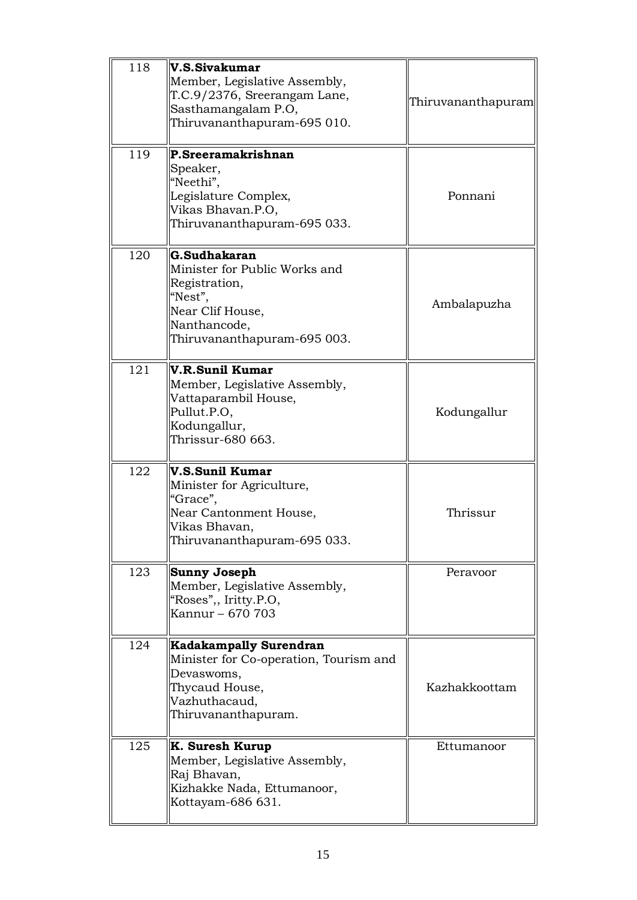| 118 | V.S.Sivakumar<br>Member, Legislative Assembly,<br>T.C.9/2376, Sreerangam Lane,<br>Sasthamangalam P.O,<br>Thiruvananthapuram-695 010.            | Thiruvananthapuram |
|-----|-------------------------------------------------------------------------------------------------------------------------------------------------|--------------------|
| 119 | P.Sreeramakrishnan<br>Speaker,<br>"Neethi",<br>Legislature Complex,<br>Vikas Bhavan.P.O,<br>Thiruvananthapuram-695 033.                         | Ponnani            |
| 120 | G.Sudhakaran<br>Minister for Public Works and<br>Registration,<br>"Nest",<br>Near Clif House,<br>Nanthancode,<br>Thiruvananthapuram-695 003.    | Ambalapuzha        |
| 121 | V.R.Sunil Kumar<br>Member, Legislative Assembly,<br>Vattaparambil House,<br>Pullut.P.O,<br>Kodungallur,<br>Thrissur-680 663.                    | Kodungallur        |
| 122 | V.S.Sunil Kumar<br>Minister for Agriculture,<br>"Grace",<br>Near Cantonment House,<br>Vikas Bhavan,<br>Thiruvananthapuram-695 033.              | Thrissur           |
| 123 | <b>Sunny Joseph</b><br>Member, Legislative Assembly,<br>"Roses",, Iritty.P.O,<br>Kannur - 670 703                                               | Peravoor           |
| 124 | <b>Kadakampally Surendran</b><br>Minister for Co-operation, Tourism and<br>Devaswoms,<br>Thycaud House,<br>Vazhuthacaud,<br>Thiruvananthapuram. | Kazhakkoottam      |
| 125 | K. Suresh Kurup<br>Member, Legislative Assembly,<br>Raj Bhavan,<br>Kizhakke Nada, Ettumanoor,<br>Kottayam-686 631.                              | Ettumanoor         |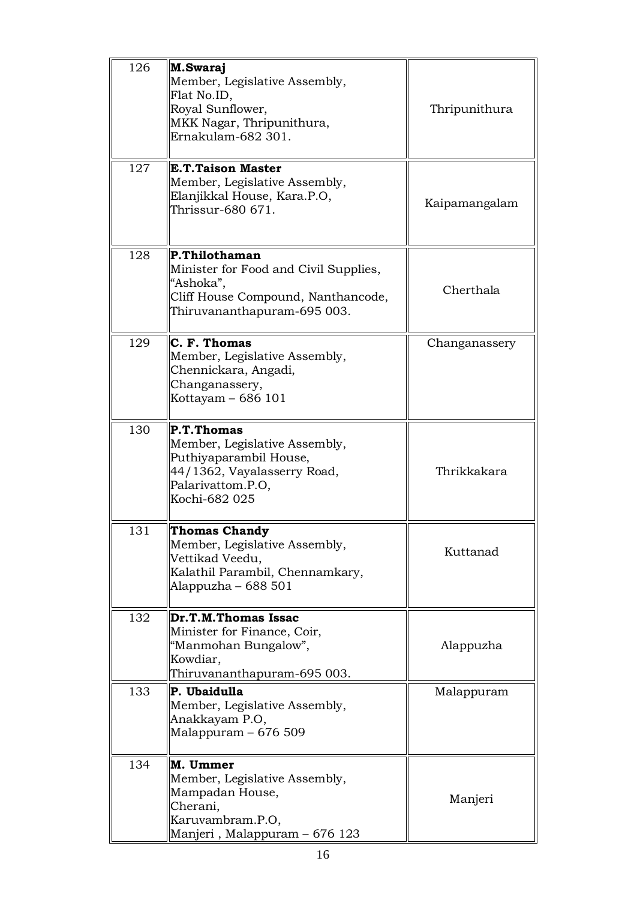| 126 | M.Swaraj<br>Member, Legislative Assembly,<br>Flat No.ID,<br>Royal Sunflower,<br>MKK Nagar, Thripunithura,<br>Ernakulam-682 301.            | Thripunithura |
|-----|--------------------------------------------------------------------------------------------------------------------------------------------|---------------|
| 127 | <b>E.T.Taison Master</b><br>Member, Legislative Assembly,<br>Elanjikkal House, Kara.P.O,<br>Thrissur-680 671.                              | Kaipamangalam |
| 128 | P.Thilothaman<br>Minister for Food and Civil Supplies,<br>"Ashoka",<br>Cliff House Compound, Nanthancode,<br>Thiruvananthapuram-695 003.   | Cherthala     |
| 129 | C. F. Thomas<br>Member, Legislative Assembly,<br>Chennickara, Angadi,<br>Changanassery,<br>Kottayam - 686 101                              | Changanassery |
| 130 | P.T.Thomas<br>Member, Legislative Assembly,<br>Puthiyaparambil House,<br>44/1362, Vayalasserry Road,<br>Palarivattom.P.O,<br>Kochi-682 025 | Thrikkakara   |
| 131 | <b>Thomas Chandy</b><br>Member, Legislative Assembly,<br>Vettikad Veedu,<br>Kalathil Parambil, Chennamkary,<br>Alappuzha – $688501$        | Kuttanad      |
| 132 | Dr.T.M.Thomas Issac<br>Minister for Finance, Coir,<br>"Manmohan Bungalow",<br>Kowdiar,<br>Thiruvananthapuram-695 003.                      | Alappuzha     |
| 133 | P. Ubaidulla<br>Member, Legislative Assembly,<br>Anakkayam P.O,<br>Malappuram $-676509$                                                    | Malappuram    |
| 134 | M. Ummer<br>Member, Legislative Assembly,<br>Mampadan House,<br>Cherani,<br>Karuvambram.P.O,<br>Manjeri, Malappuram – 676 123              | Manjeri       |